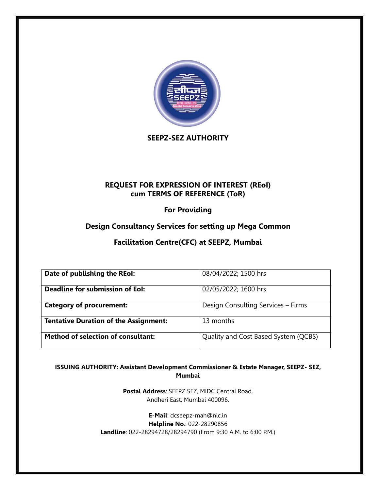

**SEEPZ-SEZ AUTHORITY**

## **REQUEST FOR EXPRESSION OF INTEREST (REoI) cum TERMS OF REFERENCE (ToR)**

**For Providing**

# **Design Consultancy Services for setting up Mega Common**

**Facilitation Centre(CFC) at SEEPZ, Mumbai**

| Date of publishing the REoI:                 | 08/04/2022; 1500 hrs                 |
|----------------------------------------------|--------------------------------------|
| Deadline for submission of EoI:              | 02/05/2022; 1600 hrs                 |
| <b>Category of procurement:</b>              | Design Consulting Services - Firms   |
| <b>Tentative Duration of the Assignment:</b> | 13 months                            |
| <b>Method of selection of consultant:</b>    | Quality and Cost Based System (QCBS) |

**ISSUING AUTHORITY: Assistant Development Commissioner & Estate Manager, SEEPZ- SEZ, Mumbai**

> **Postal Address**: SEEPZ SEZ, MIDC Central Road, Andheri East, Mumbai 400096.

**E-Mail**: dcseepz-mah@nic.in **Helpline No**.: 022-28290856 **Landline**: 022-28294728/28294790 (From 9:30 A.M. to 6:00 P.M.)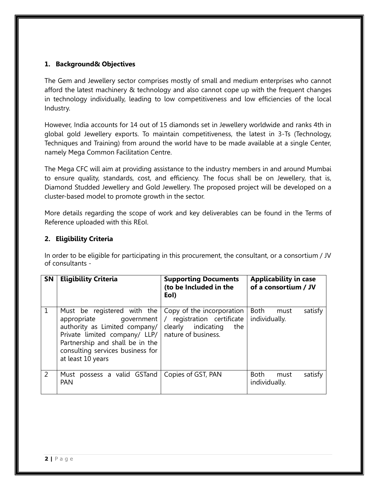#### **1. Background& Objectives**

The Gem and Jewellery sector comprises mostly of small and medium enterprises who cannot afford the latest machinery & technology and also cannot cope up with the frequent changes in technology individually, leading to low competitiveness and low efficiencies of the local Industry.

However, India accounts for 14 out of 15 diamonds set in Jewellery worldwide and ranks 4th in global gold Jewellery exports. To maintain competitiveness, the latest in 3-Ts (Technology, Techniques and Training) from around the world have to be made available at a single Center, namely Mega Common Facilitation Centre.

The Mega CFC will aim at providing assistance to the industry members in and around Mumbai to ensure quality, standards, cost, and efficiency. The focus shall be on Jewellery, that is, Diamond Studded Jewellery and Gold Jewellery. The proposed project will be developed on a cluster-based model to promote growth in the sector.

More details regarding the scope of work and key deliverables can be found in the Terms of Reference uploaded with this REoI.

#### **2. Eligibility Criteria**

In order to be eligible for participating in this procurement, the consultant, or a consortium / JV of consultants -

| SN           | <b>Eligibility Criteria</b>                                                                                                                                                                                         | <b>Supporting Documents</b><br>(to be Included in the<br>Eol)                                                              | <b>Applicability in case</b><br>of a consortium / JV |
|--------------|---------------------------------------------------------------------------------------------------------------------------------------------------------------------------------------------------------------------|----------------------------------------------------------------------------------------------------------------------------|------------------------------------------------------|
| $\mathbf{1}$ | Must be registered with the<br>appropriate government<br>authority as Limited company/<br>Private limited company/ LLP/<br>Partnership and shall be in the<br>consulting services business for<br>at least 10 years | Copy of the incorporation<br>registration certificate<br>$\sqrt{2}$<br>indicating<br>clearly<br>the<br>nature of business. | satisfy<br>Both<br>must<br>individually.             |
| 2            | Must possess a valid GSTand<br><b>PAN</b>                                                                                                                                                                           | Copies of GST, PAN                                                                                                         | Both<br>satisfy<br>must<br>individually.             |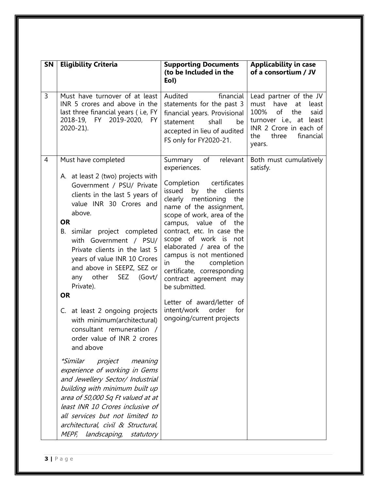| SN | <b>Eligibility Criteria</b>                                                                                                                                                                                                                                                                                                                                                                                                                                                                                                                                                                                                                                                                                                                                                                                                               | <b>Supporting Documents</b><br>(to be Included in the<br>Eol)                                                                                                                                                                                                                                                                                                                                                                                                                                                                    | <b>Applicability in case</b><br>of a consortium / JV                                                                                                                                    |
|----|-------------------------------------------------------------------------------------------------------------------------------------------------------------------------------------------------------------------------------------------------------------------------------------------------------------------------------------------------------------------------------------------------------------------------------------------------------------------------------------------------------------------------------------------------------------------------------------------------------------------------------------------------------------------------------------------------------------------------------------------------------------------------------------------------------------------------------------------|----------------------------------------------------------------------------------------------------------------------------------------------------------------------------------------------------------------------------------------------------------------------------------------------------------------------------------------------------------------------------------------------------------------------------------------------------------------------------------------------------------------------------------|-----------------------------------------------------------------------------------------------------------------------------------------------------------------------------------------|
| 3  | Must have turnover of at least<br>INR 5 crores and above in the<br>last three financial years (i.e, FY<br>2018-19, FY 2019-2020,<br>FY.<br>2020-21).                                                                                                                                                                                                                                                                                                                                                                                                                                                                                                                                                                                                                                                                                      | Audited<br>financial<br>statements for the past 3<br>financial years. Provisional<br>statement<br>shall<br>be<br>accepted in lieu of audited<br>FS only for FY2020-21.                                                                                                                                                                                                                                                                                                                                                           | Lead partner of the JV<br>have<br>must<br>at<br>least<br>100%<br>of<br>the<br>said<br>turnover <i>i.e.</i> , at least<br>INR 2 Crore in each of<br>financial<br>three<br>the.<br>years. |
| 4  | Must have completed<br>A. at least 2 (two) projects with<br>Government / PSU/ Private<br>clients in the last 5 years of<br>value INR 30 Crores and<br>above.<br><b>OR</b><br>B. similar project completed<br>with Government / PSU/<br>Private clients in the last 5<br>years of value INR 10 Crores<br>and above in SEEPZ, SEZ or<br>SEZ<br>other<br>(Govt/<br>any<br>Private).<br><b>OR</b><br>C. at least 2 ongoing projects<br>with minimum(architectural)<br>consultant remuneration /<br>order value of INR 2 crores<br>and above<br>project<br><i>*Similar</i><br>meaning<br>experience of working in Gems<br>and Jewellery Sector/ Industrial<br>building with minimum built up<br>area of 50,000 Sq Ft valued at at<br>least INR 10 Crores inclusive of<br>all services but not limited to<br>architectural, civil & Structural, | Summary<br>of<br>relevant<br>experiences.<br>Completion<br>certificates<br>issued<br>by<br>the<br>clients<br>clearly mentioning<br>the<br>name of the assignment,<br>scope of work, area of the<br>campus, value of the<br>contract, etc. In case the<br>scope of work is not<br>elaborated / area of the<br>campus is not mentioned<br>completion<br>in<br>the<br>certificate, corresponding<br>contract agreement may<br>be submitted.<br>Letter of award/letter of<br>intent/work<br>order<br>for<br>ongoing/current projects | Both must cumulatively<br>satisfy.                                                                                                                                                      |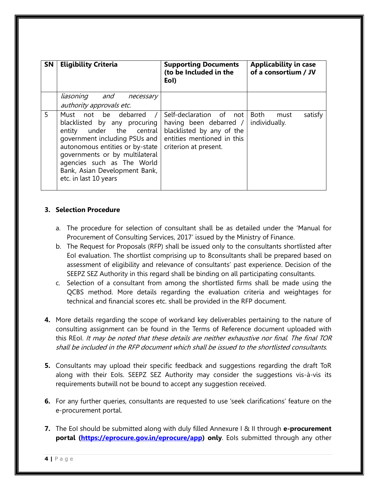| <b>SN</b> | <b>Eligibility Criteria</b>                                                                                                                                                                                                                                                      | <b>Supporting Documents</b><br>(to be Included in the<br>Eol)                                                                         | <b>Applicability in case</b><br>of a consortium / JV |
|-----------|----------------------------------------------------------------------------------------------------------------------------------------------------------------------------------------------------------------------------------------------------------------------------------|---------------------------------------------------------------------------------------------------------------------------------------|------------------------------------------------------|
|           | liasoning and<br>necessary<br>authority approvals etc.                                                                                                                                                                                                                           |                                                                                                                                       |                                                      |
| 5.        | Must not be debarred /<br>blacklisted by any procuring<br>entity under the central<br>government including PSUs and<br>autonomous entities or by-state<br>governments or by multilateral<br>agencies such as The World<br>Bank, Asian Development Bank,<br>etc. in last 10 years | Self-declaration of not<br>having been debarred /<br>blacklisted by any of the<br>entities mentioned in this<br>criterion at present. | Both<br>satisfy<br>must<br>individually.             |

#### **3. Selection Procedure**

- a. The procedure for selection of consultant shall be as detailed under the 'Manual for Procurement of Consulting Services, 2017' issued by the Ministry of Finance.
- b. The Request for Proposals (RFP) shall be issued only to the consultants shortlisted after EoI evaluation. The shortlist comprising up to 8consultants shall be prepared based on assessment of eligibility and relevance of consultants' past experience. Decision of the SEEPZ SEZ Authority in this regard shall be binding on all participating consultants.
- c. Selection of a consultant from among the shortlisted firms shall be made using the QCBS method. More details regarding the evaluation criteria and weightages for technical and financial scores etc. shall be provided in the RFP document.
- **4.** More details regarding the scope of workand key deliverables pertaining to the nature of consulting assignment can be found in the Terms of Reference document uploaded with this REol. It may be noted that these details are neither exhaustive nor final. The final TOR shall be included in the RFP document which shall be issued to the shortlisted consultants.
- **5.** Consultants may upload their specific feedback and suggestions regarding the draft ToR along with their EoIs. SEEPZ SEZ Authority may consider the suggestions vis-à-vis its requirements butwill not be bound to accept any suggestion received.
- **6.** For any further queries, consultants are requested to use 'seek clarifications' feature on the e-procurement portal.
- **7.** The EoI should be submitted along with duly filled Annexure I & II through **e-procurement portal [\(https://eprocure.gov.in/eprocure/app\)](https://eprocure.gov.in/eprocure/app) only.** EoIs submitted through any other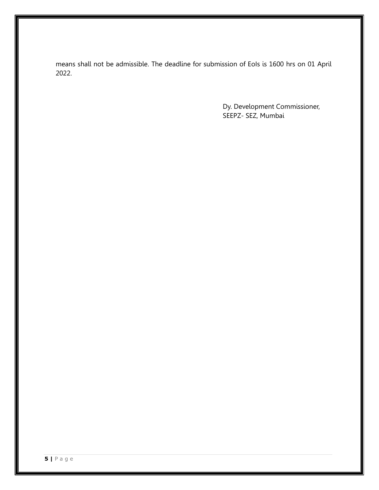means shall not be admissible. The deadline for submission of EoIs is 1600 hrs on 01 April 2022.

> Dy. Development Commissioner, SEEPZ- SEZ, Mumbai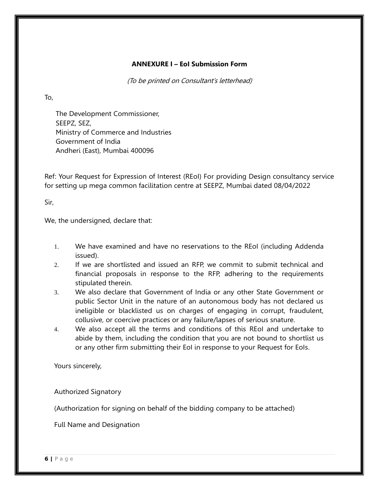#### **ANNEXURE I – EoI Submission Form**

(To be printed on Consultant's letterhead)

To,

The Development Commissioner, SEEPZ, SEZ, Ministry of Commerce and Industries Government of India Andheri (East), Mumbai 400096

Ref: Your Request for Expression of Interest (REoI) For providing Design consultancy service for setting up mega common facilitation centre at SEEPZ, Mumbai dated 08/04/2022

Sir,

We, the undersigned, declare that:

- 1. We have examined and have no reservations to the REoI (including Addenda issued).
- 2. If we are shortlisted and issued an RFP, we commit to submit technical and financial proposals in response to the RFP, adhering to the requirements stipulated therein.
- 3. We also declare that Government of India or any other State Government or public Sector Unit in the nature of an autonomous body has not declared us ineligible or blacklisted us on charges of engaging in corrupt, fraudulent, collusive, or coercive practices or any failure/lapses of serious snature.
- 4. We also accept all the terms and conditions of this REoI and undertake to abide by them, including the condition that you are not bound to shortlist us or any other firm submitting their EoI in response to your Request for EoIs.

Yours sincerely,

Authorized Signatory

(Authorization for signing on behalf of the bidding company to be attached)

Full Name and Designation